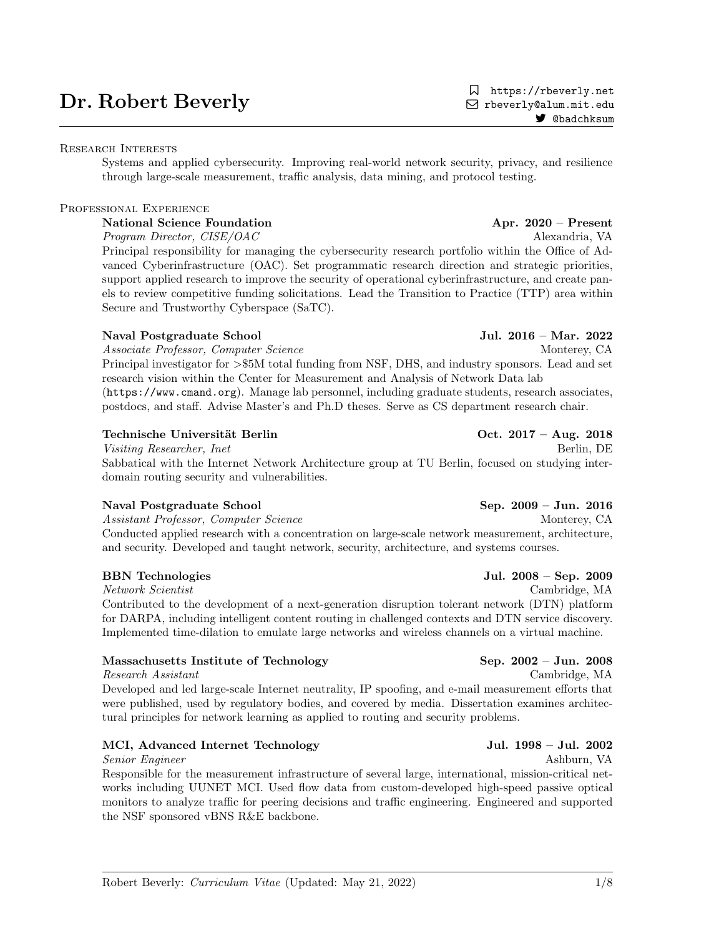# Dr. Robert Beverly

# Research Interests

Systems and applied cybersecurity. Improving real-world network security, privacy, and resilience through large-scale measurement, traffic analysis, data mining, and protocol testing.

# PROFESSIONAL EXPERIENCE

# National Science Foundation **Apr. 2020** – Present

Program Director, CISE/OAC Alexandria, VA

Principal responsibility for managing the cybersecurity research portfolio within the Office of Advanced Cyberinfrastructure (OAC). Set programmatic research direction and strategic priorities, support applied research to improve the security of operational cyberinfrastructure, and create panels to review competitive funding solicitations. Lead the Transition to Practice (TTP) area within Secure and Trustworthy Cyberspace (SaTC).

# Naval Postgraduate School Jul. 2016 – Mar. 2022

Associate Professor, Computer Science Monterey, CA

Principal investigator for >\$5M total funding from NSF, DHS, and industry sponsors. Lead and set research vision within the Center for Measurement and Analysis of Network Data lab (https://www.cmand.org). Manage lab personnel, including graduate students, research associates, postdocs, and staff. Advise Master's and Ph.D theses. Serve as CS department research chair.

# Technische Universität Berlin Corp. 2017 – Aug. 2018

Visiting Researcher, Inet Berlin, DE Sabbatical with the Internet Network Architecture group at TU Berlin, focused on studying interdomain routing security and vulnerabilities.

# Naval Postgraduate School Sep. 2009 – Jun. 2016

Assistant Professor, Computer Science Monterey, CA Conducted applied research with a concentration on large-scale network measurement, architecture, and security. Developed and taught network, security, architecture, and systems courses.

Network Scientist Cambridge, MA Contributed to the development of a next-generation disruption tolerant network (DTN) platform for DARPA, including intelligent content routing in challenged contexts and DTN service discovery. Implemented time-dilation to emulate large networks and wireless channels on a virtual machine.

# Massachusetts Institute of Technology Sep. 2002 – Jun. 2008

Research Assistant Cambridge, MA

Developed and led large-scale Internet neutrality, IP spoofing, and e-mail measurement efforts that were published, used by regulatory bodies, and covered by media. Dissertation examines architectural principles for network learning as applied to routing and security problems.

# MCI, Advanced Internet Technology Jul. 1998 – Jul. 2002

Senior Engineer Ashburn, VA

Responsible for the measurement infrastructure of several large, international, mission-critical networks including UUNET MCI. Used flow data from custom-developed high-speed passive optical monitors to analyze traffic for peering decisions and traffic engineering. Engineered and supported the NSF sponsored vBNS R&E backbone.

 https://rbeverly.net Q rbeverly@alum.mit.edu 7 @badchksum

BBN Technologies Jul. 2008 – Sep. 2009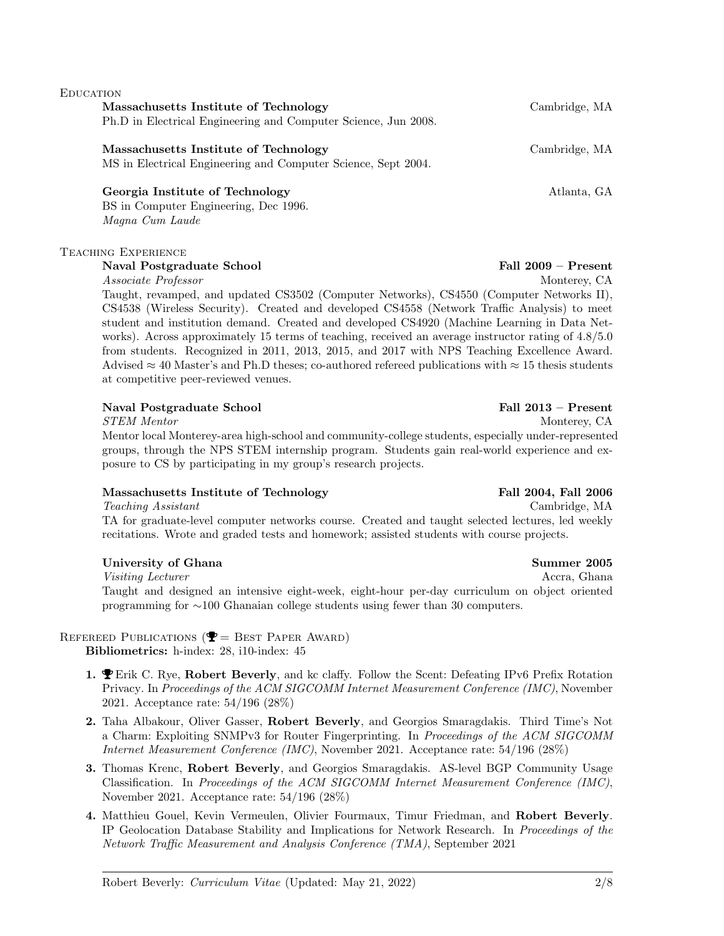# Massachusetts Institute of Technology Cambridge, MA Ph.D in Electrical Engineering and Computer Science, Jun 2008. Massachusetts Institute of Technology Cambridge, MA

MS in Electrical Engineering and Computer Science, Sept 2004.

## Georgia Institute of Technology and Atlanta, GA

BS in Computer Engineering, Dec 1996. Magna Cum Laude

### Teaching Experience

**EDUCATION** 

### Naval Postgraduate School Fall 2009 – Present

Associate Professor Monterey, CA

Taught, revamped, and updated CS3502 (Computer Networks), CS4550 (Computer Networks II), CS4538 (Wireless Security). Created and developed CS4558 (Network Traffic Analysis) to meet student and institution demand. Created and developed CS4920 (Machine Learning in Data Networks). Across approximately 15 terms of teaching, received an average instructor rating of 4.8/5.0 from students. Recognized in 2011, 2013, 2015, and 2017 with NPS Teaching Excellence Award. Advised  $\approx 40$  Master's and Ph.D theses; co-authored refereed publications with  $\approx 15$  thesis students at competitive peer-reviewed venues.

### Naval Postgraduate School Fall 2013 – Present

STEM Mentor Monterey, CA

Mentor local Monterey-area high-school and community-college students, especially under-represented groups, through the NPS STEM internship program. Students gain real-world experience and exposure to CS by participating in my group's research projects.

### Massachusetts Institute of Technology Fall 2004, Fall 2006

Teaching Assistant Cambridge, MA TA for graduate-level computer networks course. Created and taught selected lectures, led weekly recitations. Wrote and graded tests and homework; assisted students with course projects.

### University of Ghana Summer 2005

Visiting Lecturer Accra, Ghana Taught and designed an intensive eight-week, eight-hour per-day curriculum on object oriented programming for ∼100 Ghanaian college students using fewer than 30 computers.

# REFEREED PUBLICATIONS ( $\mathbf{\mathcal{P}} =$  BEST PAPER AWARD)

Bibliometrics: h-index: 28, i10-index: 45

- 1.  $\blacktriangledown$  Erik C. Rye, Robert Beverly, and kc claffy. Follow the Scent: Defeating IPv6 Prefix Rotation Privacy. In Proceedings of the ACM SIGCOMM Internet Measurement Conference (IMC), November 2021. Acceptance rate: 54/196 (28%)
- 2. Taha Albakour, Oliver Gasser, Robert Beverly, and Georgios Smaragdakis. Third Time's Not a Charm: Exploiting SNMPv3 for Router Fingerprinting. In Proceedings of the ACM SIGCOMM Internet Measurement Conference (IMC), November 2021. Acceptance rate: 54/196 (28%)
- 3. Thomas Krenc, Robert Beverly, and Georgios Smaragdakis. AS-level BGP Community Usage Classification. In Proceedings of the ACM SIGCOMM Internet Measurement Conference (IMC), November 2021. Acceptance rate: 54/196 (28%)
- 4. Matthieu Gouel, Kevin Vermeulen, Olivier Fourmaux, Timur Friedman, and Robert Beverly. IP Geolocation Database Stability and Implications for Network Research. In Proceedings of the Network Traffic Measurement and Analysis Conference (TMA), September 2021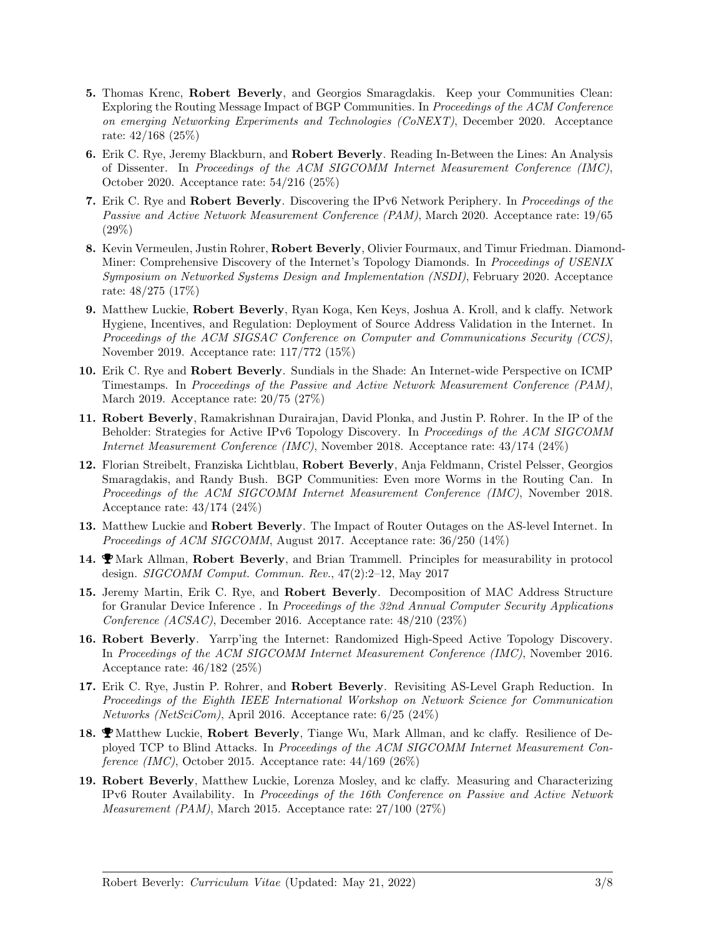- 5. Thomas Krenc, Robert Beverly, and Georgios Smaragdakis. Keep your Communities Clean: Exploring the Routing Message Impact of BGP Communities. In Proceedings of the ACM Conference on emerging Networking Experiments and Technologies (CoNEXT), December 2020. Acceptance rate: 42/168 (25%)
- 6. Erik C. Rye, Jeremy Blackburn, and Robert Beverly. Reading In-Between the Lines: An Analysis of Dissenter. In Proceedings of the ACM SIGCOMM Internet Measurement Conference (IMC), October 2020. Acceptance rate: 54/216 (25%)
- 7. Erik C. Rye and Robert Beverly. Discovering the IPv6 Network Periphery. In Proceedings of the Passive and Active Network Measurement Conference (PAM), March 2020. Acceptance rate: 19/65 (29%)
- 8. Kevin Vermeulen, Justin Rohrer, Robert Beverly, Olivier Fourmaux, and Timur Friedman. Diamond-Miner: Comprehensive Discovery of the Internet's Topology Diamonds. In Proceedings of USENIX Symposium on Networked Systems Design and Implementation (NSDI), February 2020. Acceptance rate: 48/275 (17%)
- 9. Matthew Luckie, Robert Beverly, Ryan Koga, Ken Keys, Joshua A. Kroll, and k claffy. Network Hygiene, Incentives, and Regulation: Deployment of Source Address Validation in the Internet. In Proceedings of the ACM SIGSAC Conference on Computer and Communications Security (CCS), November 2019. Acceptance rate: 117/772 (15%)
- 10. Erik C. Rye and Robert Beverly. Sundials in the Shade: An Internet-wide Perspective on ICMP Timestamps. In Proceedings of the Passive and Active Network Measurement Conference (PAM), March 2019. Acceptance rate: 20/75 (27%)
- 11. Robert Beverly, Ramakrishnan Durairajan, David Plonka, and Justin P. Rohrer. In the IP of the Beholder: Strategies for Active IPv6 Topology Discovery. In Proceedings of the ACM SIGCOMM Internet Measurement Conference (IMC), November 2018. Acceptance rate: 43/174 (24%)
- 12. Florian Streibelt, Franziska Lichtblau, Robert Beverly, Anja Feldmann, Cristel Pelsser, Georgios Smaragdakis, and Randy Bush. BGP Communities: Even more Worms in the Routing Can. In Proceedings of the ACM SIGCOMM Internet Measurement Conference (IMC), November 2018. Acceptance rate: 43/174 (24%)
- 13. Matthew Luckie and Robert Beverly. The Impact of Router Outages on the AS-level Internet. In Proceedings of ACM SIGCOMM, August 2017. Acceptance rate: 36/250 (14%)
- 14.  $\bullet$  Mark Allman, Robert Beverly, and Brian Trammell. Principles for measurability in protocol design. SIGCOMM Comput. Commun. Rev., 47(2):2–12, May 2017
- 15. Jeremy Martin, Erik C. Rye, and Robert Beverly. Decomposition of MAC Address Structure for Granular Device Inference . In Proceedings of the 32nd Annual Computer Security Applications Conference (ACSAC), December 2016. Acceptance rate:  $48/210$  (23%)
- 16. Robert Beverly. Yarrp'ing the Internet: Randomized High-Speed Active Topology Discovery. In Proceedings of the ACM SIGCOMM Internet Measurement Conference (IMC), November 2016. Acceptance rate: 46/182 (25%)
- 17. Erik C. Rye, Justin P. Rohrer, and Robert Beverly. Revisiting AS-Level Graph Reduction. In Proceedings of the Eighth IEEE International Workshop on Network Science for Communication Networks (NetSciCom), April 2016. Acceptance rate: 6/25 (24%)
- 18.  $\bullet$  Matthew Luckie, Robert Beverly, Tiange Wu, Mark Allman, and kc claffy. Resilience of Deployed TCP to Blind Attacks. In Proceedings of the ACM SIGCOMM Internet Measurement Conference (IMC), October 2015. Acceptance rate:  $44/169$  (26%)
- 19. Robert Beverly, Matthew Luckie, Lorenza Mosley, and kc claffy. Measuring and Characterizing IPv6 Router Availability. In Proceedings of the 16th Conference on Passive and Active Network Measurement (PAM), March 2015. Acceptance rate: 27/100 (27%)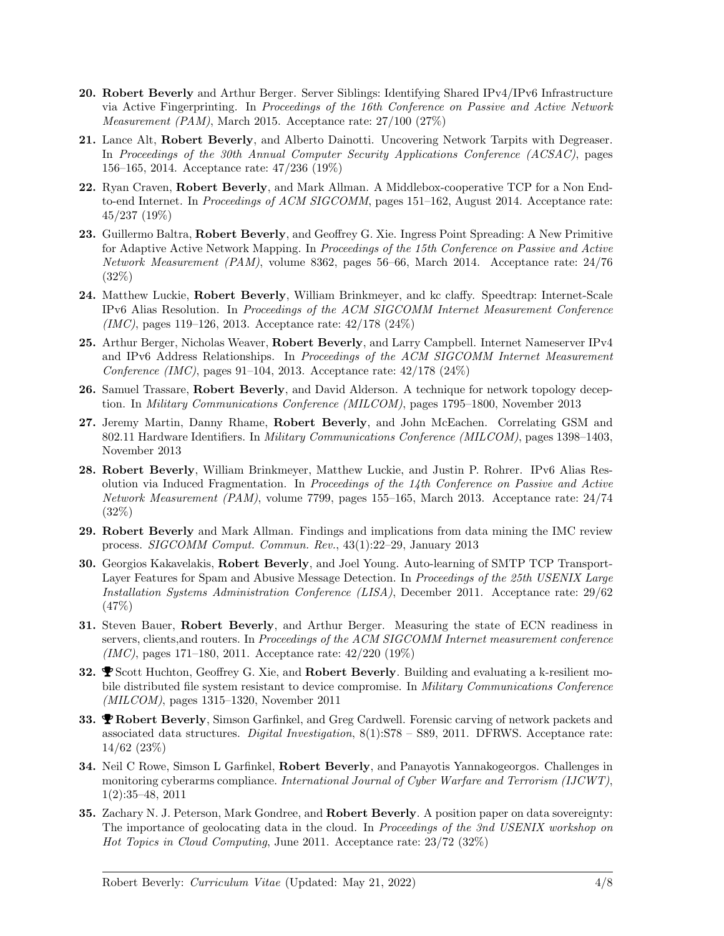- 20. Robert Beverly and Arthur Berger. Server Siblings: Identifying Shared IPv4/IPv6 Infrastructure via Active Fingerprinting. In Proceedings of the 16th Conference on Passive and Active Network Measurement (PAM), March 2015. Acceptance rate: 27/100 (27%)
- 21. Lance Alt, Robert Beverly, and Alberto Dainotti. Uncovering Network Tarpits with Degreaser. In Proceedings of the 30th Annual Computer Security Applications Conference (ACSAC), pages 156–165, 2014. Acceptance rate: 47/236 (19%)
- 22. Ryan Craven, Robert Beverly, and Mark Allman. A Middlebox-cooperative TCP for a Non Endto-end Internet. In Proceedings of ACM SIGCOMM, pages 151-162, August 2014. Acceptance rate: 45/237 (19%)
- 23. Guillermo Baltra, Robert Beverly, and Geoffrey G. Xie. Ingress Point Spreading: A New Primitive for Adaptive Active Network Mapping. In Proceedings of the 15th Conference on Passive and Active Network Measurement (PAM), volume 8362, pages 56–66, March 2014. Acceptance rate: 24/76 (32%)
- 24. Matthew Luckie, Robert Beverly, William Brinkmeyer, and kc claffy. Speedtrap: Internet-Scale IPv6 Alias Resolution. In Proceedings of the ACM SIGCOMM Internet Measurement Conference (IMC), pages 119–126, 2013. Acceptance rate: 42/178 (24%)
- 25. Arthur Berger, Nicholas Weaver, Robert Beverly, and Larry Campbell. Internet Nameserver IPv4 and IPv6 Address Relationships. In Proceedings of the ACM SIGCOMM Internet Measurement Conference (IMC), pages 91–104, 2013. Acceptance rate: 42/178 (24%)
- 26. Samuel Trassare, Robert Beverly, and David Alderson. A technique for network topology deception. In Military Communications Conference (MILCOM), pages 1795–1800, November 2013
- 27. Jeremy Martin, Danny Rhame, Robert Beverly, and John McEachen. Correlating GSM and 802.11 Hardware Identifiers. In Military Communications Conference (MILCOM), pages 1398–1403, November 2013
- 28. Robert Beverly, William Brinkmeyer, Matthew Luckie, and Justin P. Rohrer. IPv6 Alias Resolution via Induced Fragmentation. In Proceedings of the 14th Conference on Passive and Active Network Measurement (PAM), volume 7799, pages 155–165, March 2013. Acceptance rate: 24/74 (32%)
- 29. Robert Beverly and Mark Allman. Findings and implications from data mining the IMC review process. SIGCOMM Comput. Commun. Rev., 43(1):22–29, January 2013
- 30. Georgios Kakavelakis, Robert Beverly, and Joel Young. Auto-learning of SMTP TCP Transport-Layer Features for Spam and Abusive Message Detection. In Proceedings of the 25th USENIX Large Installation Systems Administration Conference (LISA), December 2011. Acceptance rate: 29/62 (47%)
- 31. Steven Bauer, Robert Beverly, and Arthur Berger. Measuring the state of ECN readiness in servers, clients,and routers. In Proceedings of the ACM SIGCOMM Internet measurement conference (IMC), pages 171–180, 2011. Acceptance rate: 42/220 (19%)
- 32.  $\bullet$  Scott Huchton, Geoffrey G. Xie, and Robert Beverly. Building and evaluating a k-resilient mobile distributed file system resistant to device compromise. In *Military Communications Conference* (MILCOM), pages 1315–1320, November 2011
- 33. **PRobert Beverly**, Simson Garfinkel, and Greg Cardwell. Forensic carving of network packets and associated data structures. Digital Investigation,  $8(1)$ :S78 – S89, 2011. DFRWS. Acceptance rate: 14/62 (23%)
- 34. Neil C Rowe, Simson L Garfinkel, Robert Beverly, and Panayotis Yannakogeorgos. Challenges in monitoring cyberarms compliance. International Journal of Cyber Warfare and Terrorism (IJCWT), 1(2):35–48, 2011
- 35. Zachary N. J. Peterson, Mark Gondree, and Robert Beverly. A position paper on data sovereignty: The importance of geolocating data in the cloud. In Proceedings of the 3nd USENIX workshop on Hot Topics in Cloud Computing, June 2011. Acceptance rate: 23/72 (32%)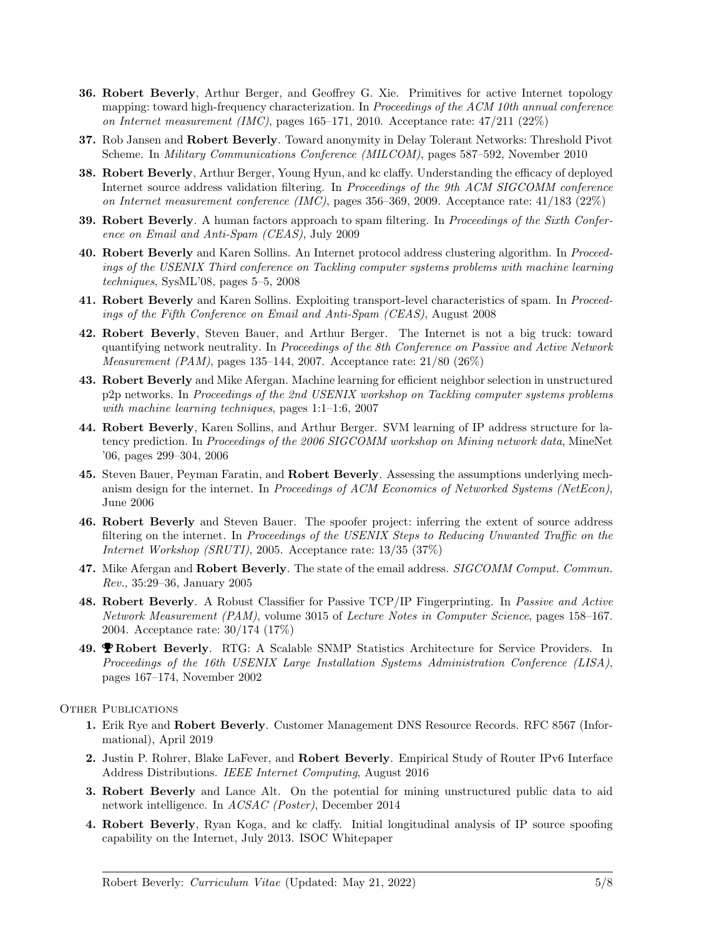- 36. Robert Beverly, Arthur Berger, and Geoffrey G. Xie. Primitives for active Internet topology mapping: toward high-frequency characterization. In Proceedings of the ACM 10th annual conference on Internet measurement (IMC), pages 165–171, 2010. Acceptance rate:  $47/211$  (22%)
- 37. Rob Jansen and Robert Beverly. Toward anonymity in Delay Tolerant Networks: Threshold Pivot Scheme. In Military Communications Conference (MILCOM), pages 587–592, November 2010
- 38. Robert Beverly, Arthur Berger, Young Hyun, and kc claffy. Understanding the efficacy of deployed Internet source address validation filtering. In Proceedings of the 9th ACM SIGCOMM conference on Internet measurement conference (IMC), pages 356–369, 2009. Acceptance rate: 41/183 (22%)
- 39. Robert Beverly. A human factors approach to spam filtering. In Proceedings of the Sixth Conference on Email and Anti-Spam (CEAS), July 2009
- 40. Robert Beverly and Karen Sollins. An Internet protocol address clustering algorithm. In Proceedings of the USENIX Third conference on Tackling computer systems problems with machine learning techniques, SysML'08, pages 5–5, 2008
- 41. Robert Beverly and Karen Sollins. Exploiting transport-level characteristics of spam. In Proceedings of the Fifth Conference on Email and Anti-Spam (CEAS), August 2008
- 42. Robert Beverly, Steven Bauer, and Arthur Berger. The Internet is not a big truck: toward quantifying network neutrality. In Proceedings of the 8th Conference on Passive and Active Network Measurement (PAM), pages 135–144, 2007. Acceptance rate: 21/80 (26%)
- 43. Robert Beverly and Mike Afergan. Machine learning for efficient neighbor selection in unstructured p2p networks. In Proceedings of the 2nd USENIX workshop on Tackling computer systems problems with machine learning techniques, pages 1:1–1:6, 2007
- 44. Robert Beverly, Karen Sollins, and Arthur Berger. SVM learning of IP address structure for latency prediction. In Proceedings of the 2006 SIGCOMM workshop on Mining network data, MineNet '06, pages 299–304, 2006
- 45. Steven Bauer, Peyman Faratin, and Robert Beverly. Assessing the assumptions underlying mechanism design for the internet. In Proceedings of ACM Economics of Networked Systems (NetEcon), June 2006
- 46. Robert Beverly and Steven Bauer. The spoofer project: inferring the extent of source address filtering on the internet. In Proceedings of the USENIX Steps to Reducing Unwanted Traffic on the Internet Workshop (SRUTI), 2005. Acceptance rate: 13/35 (37%)
- 47. Mike Afergan and Robert Beverly. The state of the email address. SIGCOMM Comput. Commun. Rev., 35:29–36, January 2005
- 48. Robert Beverly. A Robust Classifier for Passive TCP/IP Fingerprinting. In Passive and Active Network Measurement (PAM), volume 3015 of Lecture Notes in Computer Science, pages 158–167. 2004. Acceptance rate: 30/174 (17%)
- 49. **PRobert Beverly.** RTG: A Scalable SNMP Statistics Architecture for Service Providers. In Proceedings of the 16th USENIX Large Installation Systems Administration Conference (LISA), pages 167–174, November 2002

#### OTHER PUBLICATIONS

- 1. Erik Rye and Robert Beverly. Customer Management DNS Resource Records. RFC 8567 (Informational), April 2019
- 2. Justin P. Rohrer, Blake LaFever, and Robert Beverly. Empirical Study of Router IPv6 Interface Address Distributions. IEEE Internet Computing, August 2016
- 3. Robert Beverly and Lance Alt. On the potential for mining unstructured public data to aid network intelligence. In ACSAC (Poster), December 2014
- 4. Robert Beverly, Ryan Koga, and kc claffy. Initial longitudinal analysis of IP source spoofing capability on the Internet, July 2013. ISOC Whitepaper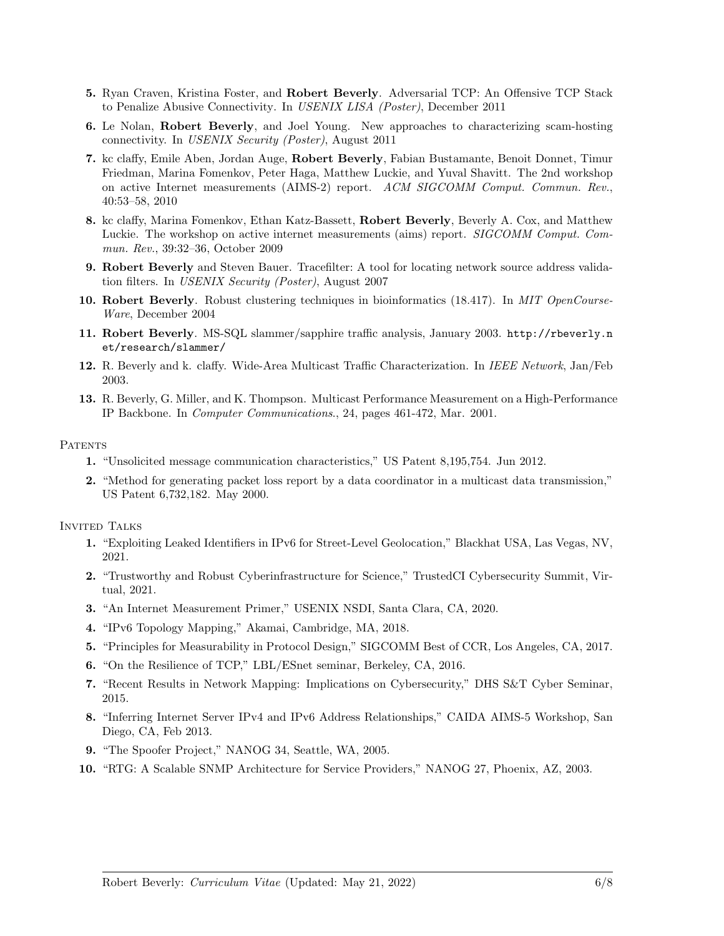- 5. Ryan Craven, Kristina Foster, and Robert Beverly. Adversarial TCP: An Offensive TCP Stack to Penalize Abusive Connectivity. In USENIX LISA (Poster), December 2011
- 6. Le Nolan, Robert Beverly, and Joel Young. New approaches to characterizing scam-hosting connectivity. In USENIX Security (Poster), August 2011
- 7. kc claffy, Emile Aben, Jordan Auge, Robert Beverly, Fabian Bustamante, Benoit Donnet, Timur Friedman, Marina Fomenkov, Peter Haga, Matthew Luckie, and Yuval Shavitt. The 2nd workshop on active Internet measurements (AIMS-2) report. ACM SIGCOMM Comput. Commun. Rev., 40:53–58, 2010
- 8. kc claffy, Marina Fomenkov, Ethan Katz-Bassett, Robert Beverly, Beverly A. Cox, and Matthew Luckie. The workshop on active internet measurements (aims) report. SIGCOMM Comput. Commun. Rev., 39:32–36, October 2009
- 9. Robert Beverly and Steven Bauer. Tracefilter: A tool for locating network source address validation filters. In USENIX Security (Poster), August 2007
- 10. Robert Beverly. Robust clustering techniques in bioinformatics (18.417). In MIT OpenCourse-Ware, December 2004
- 11. Robert Beverly. MS-SQL slammer/sapphire traffic analysis, January 2003. http://rbeverly.n et/research/slammer/
- 12. R. Beverly and k. claffy. Wide-Area Multicast Traffic Characterization. In IEEE Network, Jan/Feb 2003.
- 13. R. Beverly, G. Miller, and K. Thompson. Multicast Performance Measurement on a High-Performance IP Backbone. In Computer Communications., 24, pages 461-472, Mar. 2001.

#### PATENTS

- 1. "Unsolicited message communication characteristics," US Patent 8,195,754. Jun 2012.
- 2. "Method for generating packet loss report by a data coordinator in a multicast data transmission," US Patent 6,732,182. May 2000.

INVITED TALKS

- 1. "Exploiting Leaked Identifiers in IPv6 for Street-Level Geolocation," Blackhat USA, Las Vegas, NV, 2021.
- 2. "Trustworthy and Robust Cyberinfrastructure for Science," TrustedCI Cybersecurity Summit, Virtual, 2021.
- 3. "An Internet Measurement Primer," USENIX NSDI, Santa Clara, CA, 2020.
- 4. "IPv6 Topology Mapping," Akamai, Cambridge, MA, 2018.
- 5. "Principles for Measurability in Protocol Design," SIGCOMM Best of CCR, Los Angeles, CA, 2017.
- 6. "On the Resilience of TCP," LBL/ESnet seminar, Berkeley, CA, 2016.
- 7. "Recent Results in Network Mapping: Implications on Cybersecurity," DHS S&T Cyber Seminar, 2015.
- 8. "Inferring Internet Server IPv4 and IPv6 Address Relationships," CAIDA AIMS-5 Workshop, San Diego, CA, Feb 2013.
- 9. "The Spoofer Project," NANOG 34, Seattle, WA, 2005.
- 10. "RTG: A Scalable SNMP Architecture for Service Providers," NANOG 27, Phoenix, AZ, 2003.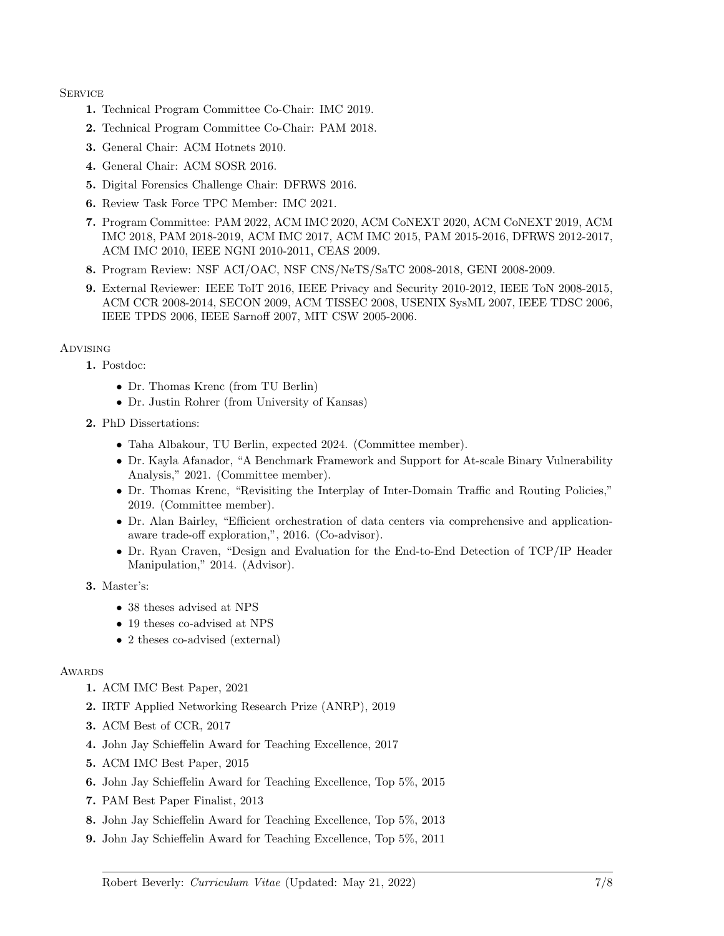#### **SERVICE**

- 1. Technical Program Committee Co-Chair: IMC 2019.
- 2. Technical Program Committee Co-Chair: PAM 2018.
- 3. General Chair: ACM Hotnets 2010.
- 4. General Chair: ACM SOSR 2016.
- 5. Digital Forensics Challenge Chair: DFRWS 2016.
- 6. Review Task Force TPC Member: IMC 2021.
- 7. Program Committee: PAM 2022, ACM IMC 2020, ACM CoNEXT 2020, ACM CoNEXT 2019, ACM IMC 2018, PAM 2018-2019, ACM IMC 2017, ACM IMC 2015, PAM 2015-2016, DFRWS 2012-2017, ACM IMC 2010, IEEE NGNI 2010-2011, CEAS 2009.
- 8. Program Review: NSF ACI/OAC, NSF CNS/NeTS/SaTC 2008-2018, GENI 2008-2009.
- 9. External Reviewer: IEEE ToIT 2016, IEEE Privacy and Security 2010-2012, IEEE ToN 2008-2015, ACM CCR 2008-2014, SECON 2009, ACM TISSEC 2008, USENIX SysML 2007, IEEE TDSC 2006, IEEE TPDS 2006, IEEE Sarnoff 2007, MIT CSW 2005-2006.

### Advising

- 1. Postdoc:
	- Dr. Thomas Krenc (from TU Berlin)
	- Dr. Justin Rohrer (from University of Kansas)
- 2. PhD Dissertations:
	- Taha Albakour, TU Berlin, expected 2024. (Committee member).
	- Dr. Kayla Afanador, "A Benchmark Framework and Support for At-scale Binary Vulnerability Analysis," 2021. (Committee member).
	- Dr. Thomas Krenc, "Revisiting the Interplay of Inter-Domain Traffic and Routing Policies," 2019. (Committee member).
	- Dr. Alan Bairley, "Efficient orchestration of data centers via comprehensive and applicationaware trade-off exploration,", 2016. (Co-advisor).
	- Dr. Ryan Craven, "Design and Evaluation for the End-to-End Detection of TCP/IP Header Manipulation," 2014. (Advisor).

3. Master's:

- 38 theses advised at NPS
- 19 theses co-advised at NPS
- 2 theses co-advised (external)

### **AWARDS**

- 1. ACM IMC Best Paper, 2021
- 2. IRTF Applied Networking Research Prize (ANRP), 2019
- 3. ACM Best of CCR, 2017
- 4. John Jay Schieffelin Award for Teaching Excellence, 2017
- 5. ACM IMC Best Paper, 2015
- 6. John Jay Schieffelin Award for Teaching Excellence, Top 5%, 2015
- 7. PAM Best Paper Finalist, 2013
- 8. John Jay Schieffelin Award for Teaching Excellence, Top 5%, 2013
- 9. John Jay Schieffelin Award for Teaching Excellence, Top 5%, 2011